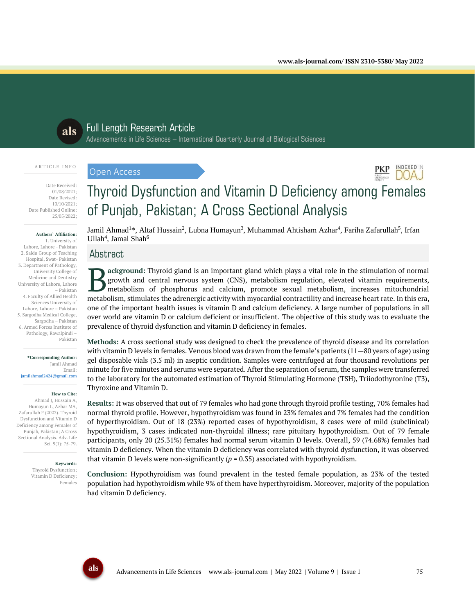**INDEXED IN DOAJ** 



# Full Length Research Article

Advancements in Life Sciences – International Quarterly Journal of Biological Sciences

### ARTICLE INFO

Date Received: 01/08/2021; Date Revised: 10/10/2021;

Date Published Online: 25/05/2022;

#### **Authors' Affiliation:**

1. University of Lahore, Lahore - Pakistan 2. Saidu Group of Teaching Hospital, Swat- Pakistan 3. Department of Pathology, University College of Medicine and Dentistry University of Lahore, Lahore – Pakistan 4. Faculty of Allied Health Sciences University of Lahore, Lahore – Pakistan 5. Sargodha Medical College, Sargodha – Pakistan 6. Armed Forces Institute of Pathology, Rawalpindi – Pakistan

#### **\*Corresponding Author:** Jamil Ahmad Email:

jamilahmad2424@gmail.com

#### **How to Cite:**

Ahmad J, Hussain A, Humayun L, Azhar MA, Zafarullah F (2022). Thyroid Dysfunction and Vitamin D Deficiency among Females of Punjab, Pakistan; A Cross Sectional Analysis. Adv. Life Sci. 9(1): 75-79.

#### **Keywords:**

Thyroid Dysfunction; Vitamin D Deficiency; Females

# Thyroid Dysfunction and Vitamin D Deficiency among Females of Punjab, Pakistan; A Cross Sectional Analysis

Jamil Ahmad<sup>1</sup>\*, Altaf Hussain<sup>2</sup>, Lubna Humayun<sup>3</sup>, Muhammad Ahtisham Azhar<sup>4</sup>, Fariha Zafarullah<sup>5</sup>, Irfan  $Ullah<sup>4</sup>, Jamal Shah<sup>6</sup>$ 

# Abstract

Open Access

**ackground:** Thyroid gland is an important gland which plays a vital role in the stimulation of normal growth and central nervous system (CNS), metabolism regulation, elevated vitamin requirements, metabolism of phosphorus and calcium, promote sexual metabolism, increases mitochondrial **Metabolism** is an important gland which plays a vital role in the stimulation of normal growth and central nervous system (CNS), metabolism regulation, elevated vitamin requirements, metabolism of phosphorus and calcium, one of the important health issues is vitamin D and calcium deficiency. A large number of populations in all over world are vitamin D or calcium deficient or insufficient. The objective of this study was to evaluate the prevalence of thyroid dysfunction and vitamin D deficiency in females.

**Methods:** A cross sectional study was designed to check the prevalence of thyroid disease and its correlation with vitamin D levels in females. Venous blood was drawn from the female's patients (11—80 years of age) using gel disposable vials (3.5 ml) in aseptic condition. Samples were centrifuged at four thousand revolutions per minute for five minutes and serums were separated. After the separation of serum, the samples were transferred to the laboratory for the automated estimation of Thyroid Stimulating Hormone (TSH), Triiodothyronine (T3), Thyroxine and Vitamin D.

**Results:** It was observed that out of 79 females who had gone through thyroid profile testing, 70% females had normal thyroid profile. However, hypothyroidism was found in 23% females and 7% females had the condition of hyperthyroidism. Out of 18 (23%) reported cases of hypothyroidism, 8 cases were of mild (subclinical) hypothyroidism, 3 cases indicated non-thyroidal illness; rare pituitary hypothyroidism. Out of 79 female participants, only 20 (25.31%) females had normal serum vitamin D levels. Overall, 59 (74.68%) females had vitamin D deficiency. When the vitamin D deficiency was correlated with thyroid dysfunction, it was observed that vitamin D levels were non-significantly  $(p = 0.35)$  associated with hypothyroidism.

**Conclusion:** Hypothyroidism was found prevalent in the tested female population, as 23% of the tested population had hypothyroidism while 9% of them have hyperthyroidism. Moreover, majority of the population had vitamin D deficiency.

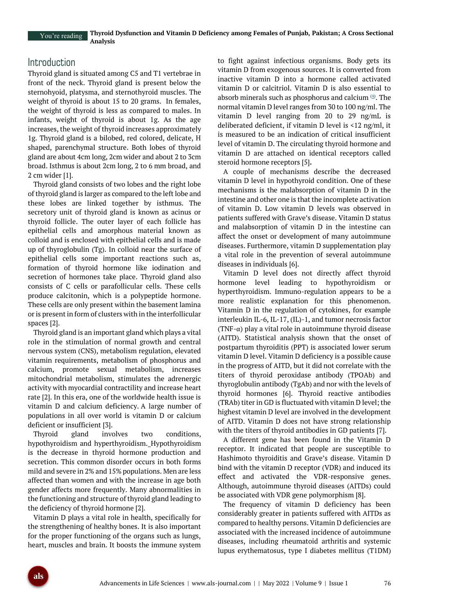## Introduction

Thyroid gland is situated among C5 and T1 vertebrae in front of the neck. Thyroid gland is present below the sternohyoid, platysma, and sternothyroid muscles. The weight of thyroid is about 15 to 20 grams. In females, the weight of thyroid is less as compared to males. In infants, weight of thyroid is about 1g. As the age increases, the weight of thyroid increases approximately 1g. Thyroid gland is a bilobed, red colored, delicate, H shaped, parenchymal structure. Both lobes of thyroid gland are about 4cm long, 2cm wider and about 2 to 3cm broad. Isthmus is about 2cm long, 2 to 6 mm broad, and 2 cm wider [1].

Thyroid gland consists of two lobes and the right lobe of thyroid gland is larger as compared to the left lobe and these lobes are linked together by isthmus. The secretory unit of thyroid gland is known as acinus or thyroid follicle. The outer layer of each follicle has epithelial cells and amorphous material known as colloid and is enclosed with epithelial cells and is made up of thyroglobulin (Tg). In colloid near the surface of epithelial cells some important reactions such as, formation of thyroid hormone like iodination and secretion of hormones take place. Thyroid gland also consists of C cells or parafollicular cells. These cells produce calcitonin, which is a polypeptide hormone. These cells are only present within the basement lamina or is present in form of clusters with in the interfollicular spaces [2].

Thyroid gland is an important gland which plays a vital role in the stimulation of normal growth and central nervous system (CNS), metabolism regulation, elevated vitamin requirements, metabolism of phosphorus and calcium, promote sexual metabolism, increases mitochondrial metabolism, stimulates the adrenergic activity with myocardial contractility and increase heart rate [2]. In this era, one of the worldwide health issue is vitamin D and calcium deficiency. A large number of populations in all over world is vitamin D or calcium deficient or insufficient [3].

Thyroid gland involves two conditions, hypothyroidism and hyperthyroidism. Hypothyroidism is the decrease in thyroid hormone production and secretion. This common disorder occurs in both forms mild and severe in 2% and 15% populations. Men are less affected than women and with the increase in age both gender affects more frequently. Many abnormalities in the functioning and structure of thyroid gland leading to the deficiency of thyroid hormone [2].

Vitamin D plays a vital role in health, specifically for the strengthening of healthy bones. It is also important for the proper functioning of the organs such as lungs, heart, muscles and brain. It boosts the immune system

to fight against infectious organisms. Body gets its vitamin D from exogenous sources. It is converted from inactive vitamin D into a hormone called activated vitamin D or calcitriol. Vitamin D is also essential to absorb minerals such as phosphorus and calcium  $(4)$ . The normal vitamin D level ranges from 30 to 100 ng/ml. The vitamin D level ranging from 20 to 29 ng/mL is deliberated deficient, if vitamin D level is <12 ng/ml, it is measured to be an indication of critical insufficient level of vitamin D. The circulating thyroid hormone and vitamin D are attached on identical receptors called steroid hormone receptors [5]**.**

A couple of mechanisms describe the decreased vitamin D level in hypothyroid condition. One of these mechanisms is the malabsorption of vitamin D in the intestine and other one is that the incomplete activation of vitamin D. Low vitamin D levels was observed in patients suffered with Grave's disease. Vitamin D status and malabsorption of vitamin D in the intestine can affect the onset or development of many autoimmune diseases. Furthermore, vitamin D supplementation play a vital role in the prevention of several autoimmune diseases in individuals [6].

Vitamin D level does not directly affect thyroid hormone level leading to hypothyroidism or hyperthyroidism. Immuno-regulation appears to be a more realistic explanation for this phenomenon. Vitamin D in the regulation of cytokines, for example interleukin IL-6, IL-17, (IL)-1, and tumor necrosis factor (TNF- $\alpha$ ) play a vital role in autoimmune thyroid disease (AITD). Statistical analysis shown that the onset of postpartum thyroiditis (PPT) is associated lower serum vitamin D level. Vitamin D deficiency is a possible cause in the progress of AITD, but it did not correlate with the titers of thyroid peroxidase antibody (TPOAb) and thyroglobulin antibody (TgAb) and nor with the levels of thyroid hormones [6]. Thyroid reactive antibodies (TRAb) titer in GD is fluctuated with vitamin D level; the highest vitamin D level are involved in the development of AITD. Vitamin D does not have strong relationship with the titers of thyroid antibodies in GD patients [7].

A different gene has been found in the Vitamin D receptor. It indicated that people are susceptible to Hashimoto thyroiditis and Grave's disease. Vitamin D bind with the vitamin D receptor (VDR) and induced its effect and activated the VDR-responsive genes. Although, autoimmune thyroid diseases (AITDs) could be associated with VDR gene polymorphism [8].

The frequency of vitamin D deficiency has been considerably greater in patients suffered with AITDs as compared to healthy persons. Vitamin D deficiencies are associated with the increased incidence of autoimmune diseases, including rheumatoid arthritis and systemic lupus erythematosus, type I diabetes mellitus (T1DM)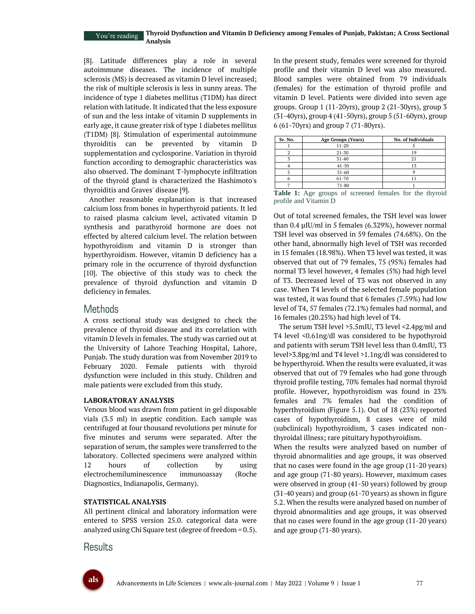#### **Thyroid Dysfunction and Vitamin D Deficiency among Females of Punjab, Pakistan; A Cross Sectional Analysis** You're reading

[8]. Latitude differences play a role in several autoimmune diseases. The incidence of multiple sclerosis (MS) is decreased as vitamin D level increased; the risk of multiple sclerosis is less in sunny areas. The incidence of type 1 diabetes mellitus (T1DM) has direct relation with latitude. It indicated that the less exposure of sun and the less intake of vitamin D supplements in early age, it cause greater risk of type 1 diabetes mellitus (T1DM) [8]. Stimulation of experimental autoimmune thyroiditis can be prevented by vitamin D supplementation and cyclosporine. Variation in thyroid function according to demographic characteristics was also observed. The dominant T-lymphocyte infiltration of the thyroid gland is characterized the Hashimoto's thyroiditis and Graves' disease [9].

Another reasonable explanation is that increased calcium loss from bones in hyperthyroid patients. It led to raised plasma calcium level, activated vitamin D synthesis and parathyroid hormone are does not effected by altered calcium level. The relation between hypothyroidism and vitamin D is stronger than hyperthyroidism. However, vitamin D deficiency has a primary role in the occurrence of thyroid dysfunction [10]. The objective of this study was to check the prevalence of thyroid dysfunction and vitamin D deficiency in females.

## Methods

A cross sectional study was designed to check the prevalence of thyroid disease and its correlation with vitamin D levels in females. The study was carried out at the University of Lahore Teaching Hospital, Lahore, Punjab. The study duration was from November 2019 to February 2020. Female patients with thyroid dysfunction were included in this study. Children and male patients were excluded from this study.

## **LABORATORAY ANALYSIS**

Venous blood was drawn from patient in gel disposable vials (3.5 ml) in aseptic condition. Each sample was centrifuged at four thousand revolutions per minute for five minutes and serums were separated. After the separation of serum, the samples were transferred to the laboratory. Collected specimens were analyzed within 12 hours of collection by using electrochemiluminescence immunoassay (Roche Diagnostics, Indianapolis, Germany).

## **STATISTICAL ANALYSIS**

All pertinent clinical and laboratory information were entered to SPSS version 25.0. categorical data were analyzed using Chi Square test (degree of freedom  $= 0.5$ ).

## Results

In the present study, females were screened for thyroid profile and their vitamin D level was also measured. Blood samples were obtained from 79 individuals (females) for the estimation of thyroid profile and vitamin D level. Patients were divided into seven age groups. Group 1 (11-20yrs), group 2 (21-30yrs), group 3 (31-40yrs), group 4 (41-50yrs), group 5 (51-60yrs), group 6 (61-70yrs) and group 7 (71-80yrs).

| Sr. No. | Age Groups (Years)                | No. of Individuals          |
|---------|-----------------------------------|-----------------------------|
|         | $11 - 20$                         |                             |
|         | $21 - 30$                         |                             |
|         | $31 - 40$                         | 21                          |
|         | $41 - 50$                         | 13                          |
|         | $51 - 60$                         |                             |
|         | $61 - 70$                         |                             |
|         | $71 - 80$                         |                             |
| - - -   | $\sim$ $\sim$<br>$\sim$<br>$\sim$ | $\sim$ $\sim$ $\sim$<br>. . |

**Table 1:** Age groups of screened females for the thyroid profile and Vitamin D

Out of total screened females, the TSH level was lower than 0.4 µIU/ml in 5 females (6.329%), however normal TSH level was observed in 59 females (74.68%). On the other hand, abnormally high level of TSH was recorded in 15 females (18.98%). When T3 level was tested, it was observed that out of 79 females, 75 (95%) females had normal T3 level however, 4 females (5%) had high level of T3. Decreased level of T3 was not observed in any case. When T4 levels of the selected female population was tested, it was found that 6 females (7.59%) had low level of T4, 57 females (72.1%) females had normal, and 16 females (20.25%) had high level of T4.

The serum TSH level >5.5mIU, T3 level <2.4pg/ml and T4 level <0.61ng/dl was considered to be hypothyroid and patients with serum TSH level less than 0.4mIU, T3 level>3.8pg/ml and T4 level >1.1ng/dl was considered to be hyperthyroid. When the results were evaluated, it was observed that out of 79 females who had gone through thyroid profile testing, 70% females had normal thyroid profile. However, hypothyroidism was found in 23% females and 7% females had the condition of hyperthyroidism (Figure 5.1). Out of 18 (23%) reported cases of hypothyroidism, 8 cases were of mild (subclinical) hypothyroidism, 3 cases indicated nonthyroidal illness; rare pituitary hypothyroidism.

When the results were analyzed based on number of thyroid abnormalities and age groups, it was observed that no cases were found in the age group (11-20 years) and age group (71-80 years). However, maximum cases were observed in group (41-50 years) followed by group (31-40 years) and group (61-70 years) as shown in figure 5.2. When the results were analyzed based on number of thyroid abnormalities and age groups, it was observed that no cases were found in the age group (11-20 years) and age group (71-80 years).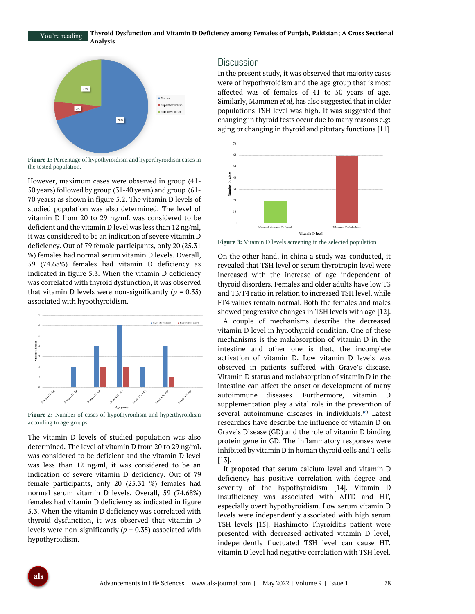**Thyroid Dysfunction and Vitamin D Deficiency among Females of Punjab, Pakistan; A Cross Sectional Analysis** You're reading



**Figure 1:** Percentage of hypothyroidism and hyperthyroidism cases in the tested population.

However, maximum cases were observed in group (41- 50 years) followed by group (31-40 years) and group (61- 70 years) as shown in figure 5.2. The vitamin D levels of studied population was also determined. The level of vitamin D from 20 to 29 ng/mL was considered to be deficient and the vitamin D level was less than 12 ng/ml, it was considered to be an indication of severe vitamin D deficiency. Out of 79 female participants, only 20 (25.31 %) females had normal serum vitamin D levels. Overall, 59 (74.68%) females had vitamin D deficiency as indicated in figure 5.3. When the vitamin D deficiency was correlated with thyroid dysfunction, it was observed that vitamin D levels were non-significantly  $(p = 0.35)$ associated with hypothyroidism.



**Figure 2:** Number of cases of hypothyroidism and hyperthyroidism according to age groups.

The vitamin D levels of studied population was also determined. The level of vitamin D from 20 to 29 ng/mL was considered to be deficient and the vitamin D level was less than 12 ng/ml, it was considered to be an indication of severe vitamin D deficiency. Out of 79 female participants, only 20 (25.31 %) females had normal serum vitamin D levels. Overall, 59 (74.68%) females had vitamin D deficiency as indicated in figure 5.3. When the vitamin D deficiency was correlated with thyroid dysfunction, it was observed that vitamin D levels were non-significantly ( $p = 0.35$ ) associated with hypothyroidism.

## **Discussion**

In the present study, it was observed that majority cases were of hypothyroidism and the age group that is most affected was of females of 41 to 50 years of age. Similarly, Mammen *et al*, has also suggested that in older populations TSH level was high. It was suggested that changing in thyroid tests occur due to many reasons e.g: aging or changing in thyroid and pitutary functions [11].



**Figure 3:** Vitamin D levels screening in the selected population

On the other hand, in china a study was conducted, it revealed that TSH level or serum thyrotropin level were increased with the increase of age independent of thyroid disorders. Females and older adults have low T3 and T3/T4 ratio in relation to increased TSH level, while FT4 values remain normal. Both the females and males showed progressive changes in TSH levels with age [12].

A couple of mechanisms describe the decreased vitamin D level in hypothyroid condition. One of these mechanisms is the malabsorption of vitamin D in the intestine and other one is that, the incomplete activation of vitamin D. Low vitamin D levels was observed in patients suffered with Grave's disease. Vitamin D status and malabsorption of vitamin D in the intestine can affect the onset or development of many autoimmune diseases. Furthermore, vitamin D supplementation play a vital role in the prevention of several autoimmune diseases in individuals.<sup>60</sup> Latest researches have describe the influence of vitamin D on Grave's Disease (GD) and the role of vitamin D binding protein gene in GD. The inflammatory responses were inhibited by vitamin D in human thyroid cells and T cells [13].

It proposed that serum calcium level and vitamin D deficiency has positive correlation with degree and severity of the hypothyroidism [14]. Vitamin D insufficiency was associated with AITD and HT, especially overt hypothyroidism. Low serum vitamin D levels were independently associated with high serum TSH levels [15]. Hashimoto Thyroiditis patient were presented with decreased activated vitamin D level, independently fluctuated TSH level can cause HT. vitamin D level had negative correlation with TSH level.